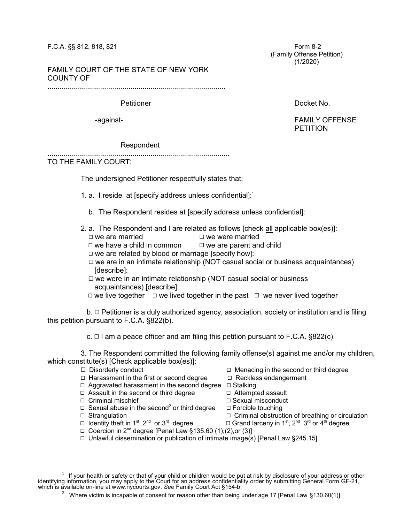## F.C.A. §§ 812, 818, 821 Form 8-2

 (Family Offense Petition) (1/2020)

## FAMILY COURT OF THE STATE OF NEW YORK COUNTY OF

..........................................................................................

Petitioner **Docket No. 2006** 

-against- FAMILY OFFENSE PETITION

## Respondent

............................................................................................

TO THE FAMILY COURT:

The undersigned Petitioner respectfully states that:

- 1. a. I reside at [specify address unless confidential]: 1
	- b. The Respondent resides at [specify address unless confidential]:
- 2. a. The Respondent and I are related as follows [check all applicable box(es)]:
	- $\Box$  we are married  $\Box$  we were married
	- $\Box$  we have a child in common  $\Box$  we are parent and child
	- $\Box$  we are related by blood or marriage [specify how]:
	- $\Box$  we are in an intimate relationship (NOT casual social or business acquaintances) [describe]:
	- $\Box$  we were in an intimate relationship (NOT casual social or business acquaintances) [describe]:
	- $\Box$  we live together  $\Box$  we lived together in the past  $\Box$  we never lived together

 $b. \Box$  Petitioner is a duly authorized agency, association, society or institution and is filing this petition pursuant to F.C.A. §822(b).

c.  $\Box$  I am a peace officer and am filing this petition pursuant to F.C.A. §822(c).

3. The Respondent committed the following family offense(s) against me and/or my children, which constitute(s) [Check applicable box(es)]:

- 
- $\Box$  Disorderly conduct  $\Box$  Menacing in the second or third degree
- $\Box$  Harassment in the first or second degree  $\Box$  Reckless endangerment
- $\Box$  Aggravated harassment in the second degree  $\Box$  Stalking
- $\Box$  Assault in the second or third degree  $\Box$  Attempted assault
- □ Criminal mischief Q Sexual misconduct
- $\Box$  Sexual abuse in the second<sup>2</sup> or third degree  $\Box$  Strangulation
- 
- $\Box$  Identity theft in 1<sup>st</sup>, 2<sup>nd</sup> or 3<sup>rd</sup>
- 
- 
- 
- 
- 
- $\Box$  Forcible touching
- $\Box$  Criminal obstruction of breathing or circulation
- degree  $\square$  Grand larceny in 1<sup>st</sup>, 2<sup>nd</sup>, 3<sup>rd</sup> or 4<sup>th</sup> degree
- □ Coercion in 2<sup>nd</sup> degree [Penal Law §135.60 (1),(2),or (3)]
	- $\Box$  Unlawful dissemination or publication of intimate image(s) [Penal Law §245.15]

 $^{\rm 1}~$  If your health or safety or that of your child or children would be put at risk by disclosure of your address or other identifying information, you may apply to the Court for an address confidentiality order by submitting General Form GF-21, which is available on-line at www.nycourts.gov. *See* Family Court Act §154-b.

<sup>&</sup>lt;sup>2</sup> Where victim is incapable of consent for reason other than being under age 17 [Penal Law §130.60(1)].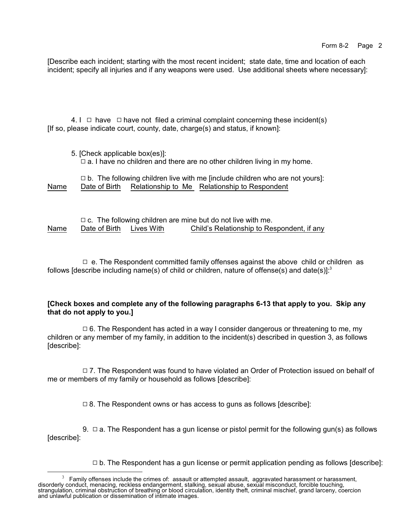[Describe each incident; starting with the most recent incident; state date, time and location of each incident; specify all injuries and if any weapons were used. Use additional sheets where necessary]:

4. I  $\Box$  have  $\Box$  have not filed a criminal complaint concerning these incident(s) [If so, please indicate court, county, date, charge(s) and status, if known]:

| 5. [Check applicable box(es)]:                                                  |  |
|---------------------------------------------------------------------------------|--|
| $\Box$ a. I have no children and there are no other children living in my home. |  |

|      |               | $\Box$ b. The following children live with me [include children who are not yours]: |  |
|------|---------------|-------------------------------------------------------------------------------------|--|
| Name | Date of Birth | Relationship to Me Relationship to Respondent                                       |  |

|      |                          | $\Box$ c. The following children are mine but do not live with me. |
|------|--------------------------|--------------------------------------------------------------------|
| Name | Date of Birth Lives With | Child's Relationship to Respondent, if any                         |

 $\Box$  e. The Respondent committed family offenses against the above child or children as follows [describe including name(s) of child or children, nature of offense(s) and date(s)]:<sup>3</sup>

## **[Check boxes and complete any of the following paragraphs 6-13 that apply to you. Skip any that do not apply to you.]**

 $\Box$  6. The Respondent has acted in a way I consider dangerous or threatening to me, my children or any member of my family, in addition to the incident(s) described in question 3, as follows [describe]:

 $\Box$  7. The Respondent was found to have violated an Order of Protection issued on behalf of me or members of my family or household as follows [describe]:

 $\Box$  8. The Respondent owns or has access to guns as follows [describe]:

9.  $\Box$  a. The Respondent has a gun license or pistol permit for the following gun(s) as follows [describe]:

 $\Box$  b. The Respondent has a gun license or permit application pending as follows [describe]:

<sup>3</sup> Family offenses include the crimes of: assault or attempted assault, aggravated harassment or harassment, disorderly conduct, menacing, reckless endangerment, stalking, sexual abuse, sexual misconduct, forcible touching, strangulation, criminal obstruction of breathing or blood circulation, identity theft, criminal mischief, grand larceny, coercion and unlawful publication or dissemination of intimate images.